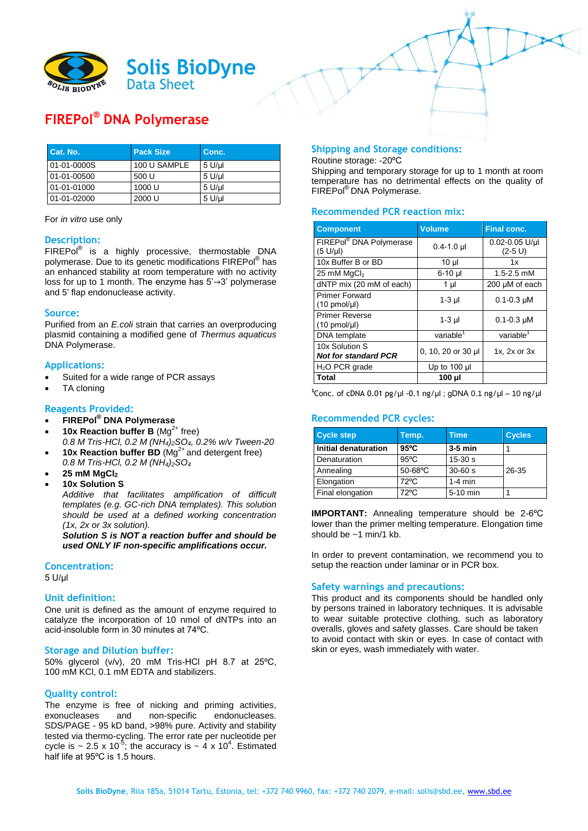

# **FIREPol® DNA Polymerase**

| <b>Cat. No.</b> | <b>Pack Size</b> | Conc.        |
|-----------------|------------------|--------------|
| 01-01-0000S     | 100 U SAMPLE     | $5$ U/ $\mu$ |
| 01-01-00500     | 500 U            | $5$ U/ $\mu$ |
| 01-01-01000     | 1000 U           | $5$ U/ul     |
| 01-01-02000     | 2000 U           | $5$ U/µl     |

For *in vitro* use only

## **Description:**

FIREPol<sup>®</sup> is a highly processive, thermostable DNA polymerase. Due to its genetic modifications FIREPol® has an enhanced stability at room temperature with no activity loss for up to 1 month. The enzyme has 5'→3' polymerase and 5' flap endonuclease activity.

#### **Source:**

Purified from an *E.coli* strain that carries an overproducing plasmid containing a modified gene of *Thermus aquaticus* DNA Polymerase.

#### **Applications:**

- Suited for a wide range of PCR assays
- TA cloning

## **Reagents Provided:**

- **FIREPol® DNA Polymerase**
- **10x Reaction buffer B** (Mg<sup>2+</sup> free)
- *0.8 M Tris-HCl, 0.2 M (NH4)2SO4, 0.2% w/v Tween-20* **10x Reaction buffer BD** (Mg<sup>2+</sup> and detergent free)
- *0.8 M Tris-HCl, 0.2 M (NH4)2SO<sup>4</sup>*
- **25 mM MgCl<sup>2</sup>**
- **10x Solution S**

*Additive that facilitates amplification of difficult templates (e.g. GC-rich DNA templates). This solution should be used at a defined working concentration (1x, 2x or 3x solution).*

*Solution S is NOT a reaction buffer and should be used ONLY IF non-specific amplifications occur.*

#### **Concentration:**

5 U/µl

## **Unit definition:**

One unit is defined as the amount of enzyme required to catalyze the incorporation of 10 nmol of dNTPs into an acid-insoluble form in 30 minutes at 74ºC.

#### **Storage and Dilution buffer:**

50% glycerol (v/v), 20 mM Tris-HCl pH 8.7 at 25ºC, 100 mM KCl, 0.1 mM EDTA and stabilizers.

#### **Quality control:**

The enzyme is free of nicking and priming activities, exonucleases and non-specific endonucleases. SDS/PAGE - 95 kD band, >98% pure. Activity and stability tested via thermo-cycling. The error rate per nucleotide per cycle is  $\sim$  2.5 x 10<sup>-5</sup>; the accuracy is  $\sim$  4 x 10<sup>4</sup>. Estimated half life at 95ºC is 1.5 hours.

#### **Shipping and Storage conditions:**

Routine storage: -20ºC

Shipping and temporary storage for up to 1 month at room temperature has no detrimental effects on the quality of FIREPol® DNA Polymerase.

## **Recommended PCR reaction mix:**

| <b>Component</b>                                   | <b>Volume</b>         | <b>Final conc.</b>              |
|----------------------------------------------------|-----------------------|---------------------------------|
| FIREPol® DNA Polymerase<br>(5 U/µl)                | $0.4 - 1.0$ µ         | $0.02 - 0.05$ U/ul<br>$(2-5 U)$ |
| 10x Buffer B or BD                                 | 10 µl                 | 1x                              |
| 25 mM $MqCl2$                                      | 6-10 µl               | 1.5-2.5 mM                      |
| dNTP mix (20 mM of each)                           | 1 µl                  | 200 µM of each                  |
| <b>Primer Forward</b><br>$(10 \text{ pmol/}\mu l)$ | $1-3$ µl              | $0.1 - 0.3$ µM                  |
| <b>Primer Reverse</b><br>$(10 \text{ pmol/}\mu l)$ | $1-3$ µl              | $0.1 - 0.3$ µM                  |
| DNA template                                       | variable <sup>1</sup> | variable <sup>1</sup>           |
| 10x Solution S<br><b>Not for standard PCR</b>      | 0, 10, 20 or 30 µl    | $1x$ , $2x$ or $3x$             |
| $H2O$ PCR grade                                    | Up to $100$ µ         |                                 |
| Total                                              | 100 µl                |                                 |

**1** Conc. of cDNA 0.01 pg/µl -0.1 ng/µl ; gDNA 0.1 ng/µl – 10 ng/µl

# **Recommended PCR cycles:**

| <b>Cycle step</b>    | Temp.          | <b>Time</b> | <b>Cycles</b> |
|----------------------|----------------|-------------|---------------|
| Initial denaturation | $95^{\circ}$ C | $3-5$ min   |               |
| Denaturation         | $95^{\circ}$ C | $15 - 30s$  |               |
| Annealing            | $50-68$ °C     | $30 - 60 s$ | 26-35         |
| Elongation           | $72^{\circ}$ C | $1-4$ min   |               |
| Final elongation     | 72°C           | 5-10 min    |               |

**IMPORTANT:** Annealing temperature should be 2-6ºC lower than the primer melting temperature. Elongation time should be  $~1$  min/1 kb.

In order to prevent contamination, we recommend you to setup the reaction under laminar or in PCR box.

#### **Safety warnings and precautions:**

This product and its components should be handled only by persons trained in laboratory techniques. It is advisable to wear suitable protective clothing, such as laboratory overalls, gloves and safety glasses. Care should be taken to avoid contact with skin or eyes. In case of contact with skin or eyes, wash immediately with water.